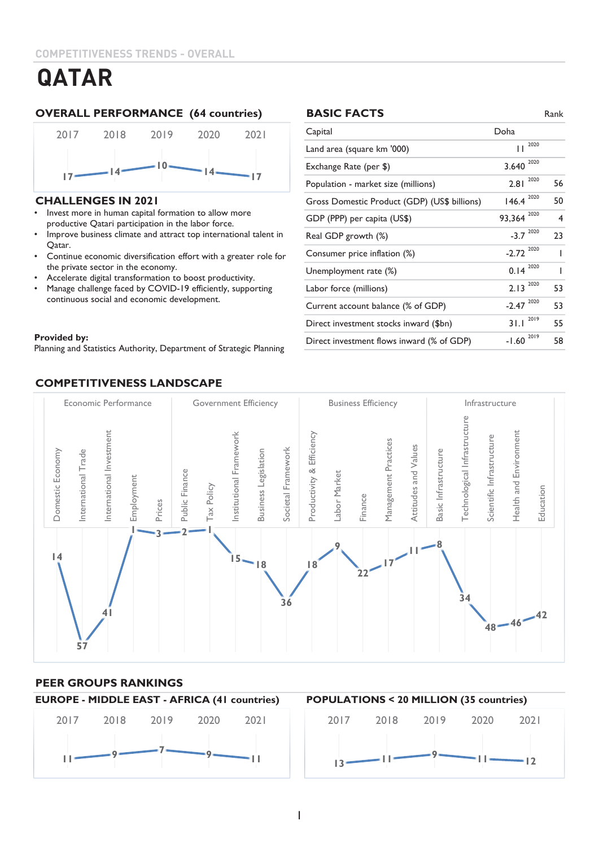### **OVERALL PERFORMANCE (64 countries) BASIC FACTS** Rank



#### **CHALLENGES IN 2021**

- Invest more in human capital formation to allow more productive Qatari participation in the labor force.
- Improve business climate and attract top international talent in Qatar.
- Continue economic diversification effort with a greater role for the private sector in the economy.
- Accelerate digital transformation to boost productivity.
- Manage challenge faced by COVID-19 efficiently, supporting continuous social and economic development.

#### Provided by: Equipment of Statistics Authority, Department of Strategic Planning of Strategic Planning of Strategic Planning of Strategic Planning of Strategic Planning of Strategic Planning of Strategic Planning of Strate **Provided by:**

Planning and Statistics Authority, Department of Strategic Planning

### **COMPETITIVENESS LANDSCAPE**

#### **BASIC FACTS**

| Capital                                      | Doha            |    |
|----------------------------------------------|-----------------|----|
| Land area (square km '000)                   | 2020<br>П       |    |
| Exchange Rate (per \$)                       | 2020<br>3.640   |    |
| Population - market size (millions)          | 2020<br>2.81    | 56 |
| Gross Domestic Product (GDP) (US\$ billions) | 2020<br>146.4   | 50 |
| GDP (PPP) per capita (US\$)                  | 2020<br>93,364  | 4  |
| Real GDP growth (%)                          | 2020<br>$-3.7$  | 23 |
| Consumer price inflation (%)                 | 2020<br>$-2.72$ | ı  |
| Unemployment rate (%)                        | 2020<br>0.14    |    |
| Labor force (millions)                       | 2020<br>2.13    | 53 |
| Current account balance (% of GDP)           | 2020<br>$-2.47$ | 53 |
| Direct investment stocks inward (\$bn)       | 2019<br>31.1    | 55 |
| Direct investment flows inward (% of GDP)    | 2019<br>$-1.60$ | 58 |



### **PEER GROUPS RANKINGS**



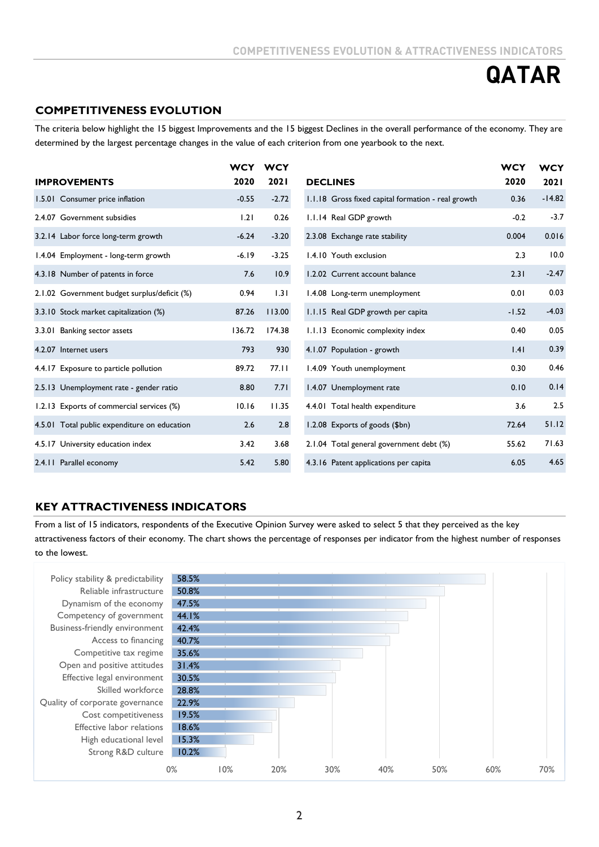### **COMPETITIVENESS EVOLUTION**

The criteria below highlight the 15 biggest Improvements and the 15 biggest Declines in the overall performance of the economy. They are determined by the largest percentage changes in the value of each criterion from one yearbook to the next.

|                                              | <b>WCY</b> | <b>WCY</b> |                                                    | <b>WCY</b> | <b>WCY</b>  |
|----------------------------------------------|------------|------------|----------------------------------------------------|------------|-------------|
| <b>IMPROVEMENTS</b>                          | 2020       | 2021       | <b>DECLINES</b>                                    | 2020       | <b>2021</b> |
| 1.5.01 Consumer price inflation              | $-0.55$    | $-2.72$    | 1.1.18 Gross fixed capital formation - real growth | 0.36       | $-14.82$    |
| 2.4.07 Government subsidies                  | 1.21       | 0.26       | 1.1.14 Real GDP growth                             | $-0.2$     | $-3.7$      |
| 3.2.14 Labor force long-term growth          | $-6.24$    | $-3.20$    | 2.3.08 Exchange rate stability                     | 0.004      | 0.016       |
| 1.4.04 Employment - long-term growth         | $-6.19$    | $-3.25$    | 1.4.10 Youth exclusion                             | 2.3        | 10.0        |
| 4.3.18 Number of patents in force            | 7.6        | 10.9       | 1.2.02 Current account balance                     | 2.31       | $-2.47$     |
| 2.1.02 Government budget surplus/deficit (%) | 0.94       | 1.31       | 1.4.08 Long-term unemployment                      | 0.01       | 0.03        |
| 3.3.10 Stock market capitalization (%)       | 87.26      | 113.00     | 1.1.15 Real GDP growth per capita                  | $-1.52$    | $-4.03$     |
| 3.3.01 Banking sector assets                 | 136.72     | 174.38     | 1.1.13 Economic complexity index                   | 0.40       | 0.05        |
| 4.2.07 Internet users                        | 793        | 930        | 4.1.07 Population - growth                         | .4         | 0.39        |
| 4.4.17 Exposure to particle pollution        | 89.72      | 77.11      | 1.4.09 Youth unemployment                          | 0.30       | 0.46        |
| 2.5.13 Unemployment rate - gender ratio      | 8.80       | 7.71       | 1.4.07 Unemployment rate                           | 0.10       | 0.14        |
| 1.2.13 Exports of commercial services (%)    | 10.16      | 11.35      | 4.4.01 Total health expenditure                    | 3.6        | 2.5         |
| 4.5.01 Total public expenditure on education | 2.6        | 2.8        | 1.2.08 Exports of goods (\$bn)                     | 72.64      | 51.12       |
| 4.5.17 University education index            | 3.42       | 3.68       | 2.1.04 Total general government debt (%)           | 55.62      | 71.63       |
| 2.4.11 Parallel economy                      | 5.42       | 5.80       | 4.3.16 Patent applications per capita              | 6.05       | 4.65        |

### **KEY ATTRACTIVENESS INDICATORS**

From a list of 15 indicators, respondents of the Executive Opinion Survey were asked to select 5 that they perceived as the key attractiveness factors of their economy. The chart shows the percentage of responses per indicator from the highest number of responses to the lowest.

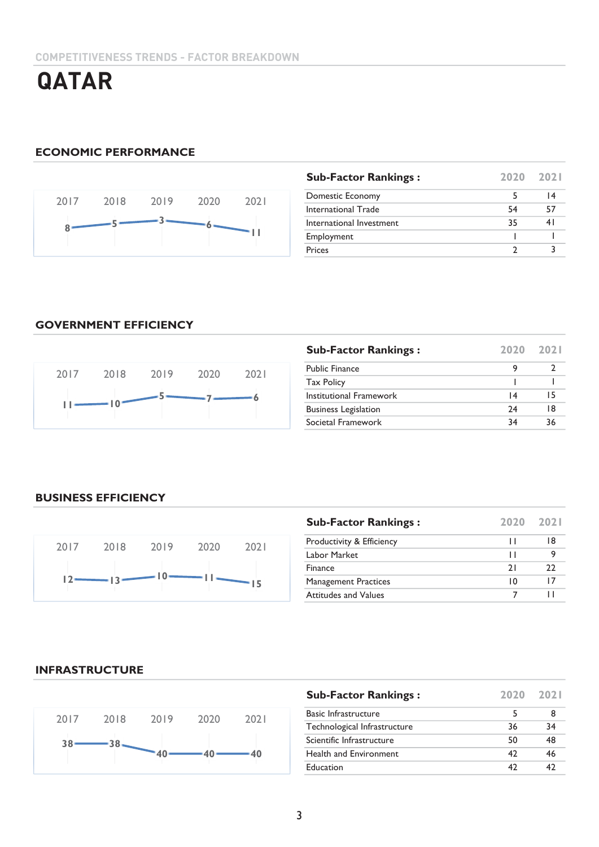# **ECONOMIC PERFORMANCE**



| <b>Sub-Factor Rankings:</b> | 2020 | 2021 |
|-----------------------------|------|------|
| Domestic Economy            |      | 14   |
| <b>International Trade</b>  | 54   | 57   |
| International Investment    | 35   | 41   |
| Employment                  |      |      |
| Prices                      |      |      |

### **GOVERNMENT EFFICIENCY**



| <b>Sub-Factor Rankings:</b> | 2020 | 2021 |
|-----------------------------|------|------|
| <b>Public Finance</b>       | 9    |      |
| <b>Tax Policy</b>           |      |      |
| Institutional Framework     | 14   | 15   |
| <b>Business Legislation</b> | 74   | 18   |
| Societal Framework          | 34   | 36   |

# **BUSINESS EFFICIENCY**



| <b>Sub-Factor Rankings:</b> | 2020 | 2021 |
|-----------------------------|------|------|
| Productivity & Efficiency   | ш    | 18   |
| Labor Market                | ш    |      |
| Finance                     | 21   | 22   |
| <b>Management Practices</b> | 10   | 17   |
| Attitudes and Values        |      |      |

### **INFRASTRUCTURE**



| <b>Sub-Factor Rankings:</b>   | 2020 | 2021 |
|-------------------------------|------|------|
| <b>Basic Infrastructure</b>   | 5    |      |
| Technological Infrastructure  | 36   | 34   |
| Scientific Infrastructure     | 50   | 48   |
| <b>Health and Environment</b> | 42   | 46   |
| Education                     | 42   | 47   |